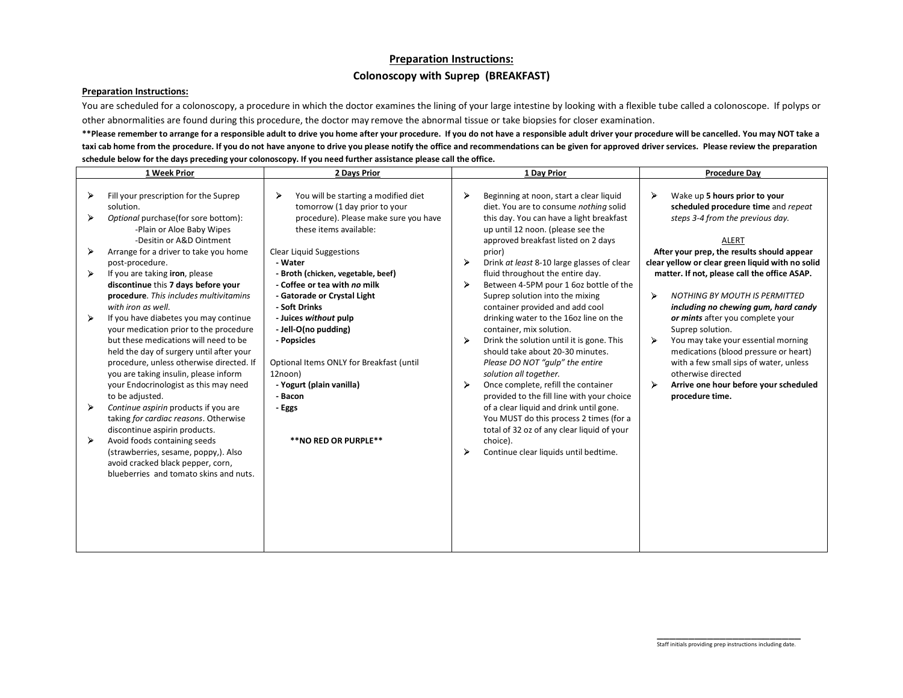## **Preparation Instructions: Colonoscopy with Suprep (BREAKFAST)**

## **Preparation Instructions:**

You are scheduled for a colonoscopy, a procedure in which the doctor examines the lining of your large intestine by looking with a flexible tube called a colonoscope. If polyps or other abnormalities are found during this procedure, the doctor may remove the abnormal tissue or take biopsies for closer examination.

\*\*Please remember to arrange for a responsible adult to drive you home after your procedure. If you do not have a responsible adult driver your procedure will be cancelled. You may NOT take a **taxi cab home from the procedure. If you do not have anyone to drive you please notify the office and recommendations can be given for approved driver services. Please review the preparation schedule below for the days preceding your colonoscopy. If you need further assistance please call the office.**

|   | 1 Week Prior                                                                                                                                                                                                                                                                                                          | 2 Days Prior                                                                                                                                               |   | 1 Day Prior                                                                                                                                                                                                                                                                                           |        | <b>Procedure Dav</b>                                                                                                                                                                                                                                             |
|---|-----------------------------------------------------------------------------------------------------------------------------------------------------------------------------------------------------------------------------------------------------------------------------------------------------------------------|------------------------------------------------------------------------------------------------------------------------------------------------------------|---|-------------------------------------------------------------------------------------------------------------------------------------------------------------------------------------------------------------------------------------------------------------------------------------------------------|--------|------------------------------------------------------------------------------------------------------------------------------------------------------------------------------------------------------------------------------------------------------------------|
|   | Fill your prescription for the Suprep<br>solution.<br>Optional purchase(for sore bottom):<br>-Plain or Aloe Baby Wipes                                                                                                                                                                                                | You will be starting a modified diet<br>⋗<br>tomorrow (1 day prior to your<br>procedure). Please make sure you have<br>these items available:              | ➤ | Beginning at noon, start a clear liquid<br>diet. You are to consume nothing solid<br>this day. You can have a light breakfast<br>up until 12 noon. (please see the                                                                                                                                    | ⋗      | Wake up 5 hours prior to your<br>scheduled procedure time and repeat<br>steps 3-4 from the previous day.                                                                                                                                                         |
|   | -Desitin or A&D Ointment<br>Arrange for a driver to take you home<br>post-procedure.                                                                                                                                                                                                                                  | <b>Clear Liquid Suggestions</b><br>- Water                                                                                                                 | ⋗ | approved breakfast listed on 2 days<br>prior)<br>Drink at least 8-10 large glasses of clear                                                                                                                                                                                                           |        | <b>ALERT</b><br>After your prep, the results should appear<br>clear yellow or clear green liquid with no solid                                                                                                                                                   |
|   | If you are taking iron, please<br>discontinue this 7 days before your<br>procedure. This includes multivitamins<br>with iron as well.                                                                                                                                                                                 | - Broth (chicken, vegetable, beef)<br>- Coffee or tea with no milk<br>- Gatorade or Crystal Light<br>- Soft Drinks                                         | ⋗ | fluid throughout the entire day.<br>Between 4-5PM pour 1 6oz bottle of the<br>Suprep solution into the mixing<br>container provided and add cool                                                                                                                                                      | ➤      | matter. If not, please call the office ASAP.<br><b>NOTHING BY MOUTH IS PERMITTED</b><br>including no chewing gum, hard candy                                                                                                                                     |
|   | If you have diabetes you may continue<br>your medication prior to the procedure<br>but these medications will need to be<br>held the day of surgery until after your<br>procedure, unless otherwise directed. If<br>you are taking insulin, please inform<br>your Endocrinologist as this may need<br>to be adjusted. | - Juices without pulp<br>- Jell-O(no pudding)<br>- Popsicles<br>Optional Items ONLY for Breakfast (until<br>12noon)<br>- Yogurt (plain vanilla)<br>- Bacon | ⋗ | drinking water to the 16oz line on the<br>container, mix solution.<br>Drink the solution until it is gone. This<br>should take about 20-30 minutes.<br>Please DO NOT "gulp" the entire<br>solution all together.<br>Once complete, refill the container<br>provided to the fill line with your choice | ↘<br>⋗ | or mints after you complete your<br>Suprep solution.<br>You may take your essential morning<br>medications (blood pressure or heart)<br>with a few small sips of water, unless<br>otherwise directed<br>Arrive one hour before your scheduled<br>procedure time. |
| ➤ | Continue aspirin products if you are<br>taking for cardiac reasons. Otherwise<br>discontinue aspirin products.<br>Avoid foods containing seeds<br>(strawberries, sesame, poppy,). Also<br>avoid cracked black pepper, corn,<br>blueberries and tomato skins and nuts.                                                 | - Eggs<br>**NO RED OR PURPLE**                                                                                                                             |   | of a clear liquid and drink until gone.<br>You MUST do this process 2 times (for a<br>total of 32 oz of any clear liquid of your<br>choice).<br>Continue clear liquids until bedtime.                                                                                                                 |        |                                                                                                                                                                                                                                                                  |
|   |                                                                                                                                                                                                                                                                                                                       |                                                                                                                                                            |   |                                                                                                                                                                                                                                                                                                       |        |                                                                                                                                                                                                                                                                  |